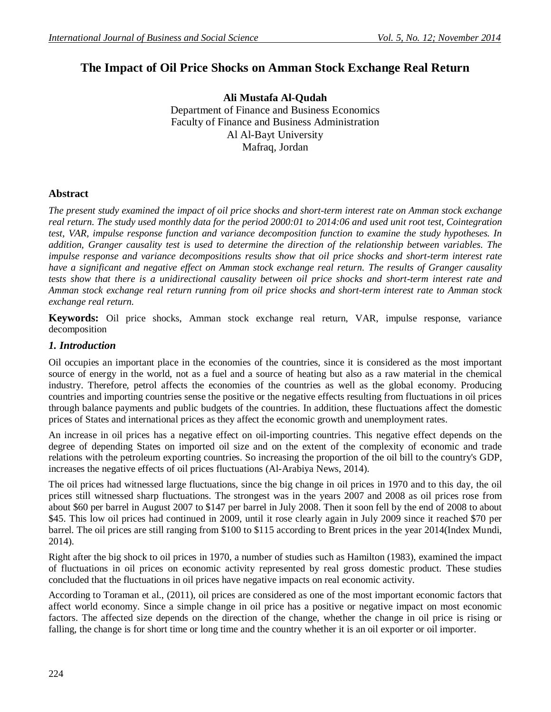# **The Impact of Oil Price Shocks on Amman Stock Exchange Real Return**

**Ali Mustafa Al-Qudah** Department of Finance and Business Economics Faculty of Finance and Business Administration Al Al-Bayt University Mafraq, Jordan

#### **Abstract**

*The present study examined the impact of oil price shocks and short-term interest rate on Amman stock exchange real return. The study used monthly data for the period 2000:01 to 2014:06 and used unit root test, Cointegration test, VAR, impulse response function and variance decomposition function to examine the study hypotheses. In addition, Granger causality test is used to determine the direction of the relationship between variables. The impulse response and variance decompositions results show that oil price shocks and short-term interest rate have a significant and negative effect on Amman stock exchange real return. The results of Granger causality tests show that there is a unidirectional causality between oil price shocks and short-term interest rate and Amman stock exchange real return running from oil price shocks and short-term interest rate to Amman stock exchange real return.*

**Keywords:** Oil price shocks, Amman stock exchange real return, VAR, impulse response, variance decomposition

#### *1. Introduction*

Oil occupies an important place in the economies of the countries, since it is considered as the most important source of energy in the world, not as a fuel and a source of heating but also as a raw material in the chemical industry. Therefore, petrol affects the economies of the countries as well as the global economy. Producing countries and importing countries sense the positive or the negative effects resulting from fluctuations in oil prices through balance payments and public budgets of the countries. In addition, these fluctuations affect the domestic prices of States and international prices as they affect the economic growth and unemployment rates.

An increase in oil prices has a negative effect on oil-importing countries. This negative effect depends on the degree of depending States on imported oil size and on the extent of the complexity of economic and trade relations with the petroleum exporting countries. So increasing the proportion of the oil bill to the country's GDP, increases the negative effects of oil prices fluctuations (Al-Arabiya News, 2014).

The oil prices had witnessed large fluctuations, since the big change in oil prices in 1970 and to this day, the oil prices still witnessed sharp fluctuations. The strongest was in the years 2007 and 2008 as oil prices rose from about \$60 per barrel in August 2007 to \$147 per barrel in July 2008. Then it soon fell by the end of 2008 to about \$45. This low oil prices had continued in 2009, until it rose clearly again in July 2009 since it reached \$70 per barrel. The oil prices are still ranging from \$100 to \$115 according to Brent prices in the year 2014(Index Mundi, 2014).

Right after the big shock to oil prices in 1970, a number of studies such as Hamilton (1983), examined the impact of fluctuations in oil prices on economic activity represented by real gross domestic product. These studies concluded that the fluctuations in oil prices have negative impacts on real economic activity.

According to Toraman et al., (2011), oil prices are considered as one of the most important economic factors that affect world economy. Since a simple change in oil price has a positive or negative impact on most economic factors. The affected size depends on the direction of the change, whether the change in oil price is rising or falling, the change is for short time or long time and the country whether it is an oil exporter or oil importer.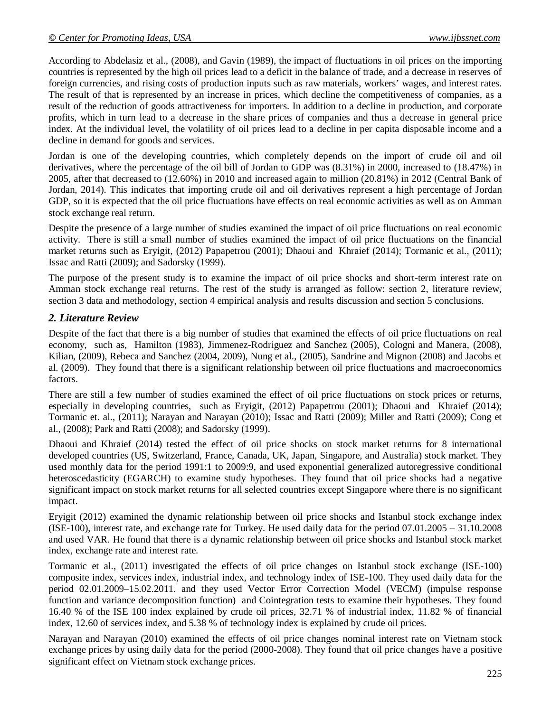According to Abdelasiz et al., (2008), and Gavin (1989), the impact of fluctuations in oil prices on the importing countries is represented by the high oil prices lead to a deficit in the balance of trade, and a decrease in reserves of foreign currencies, and rising costs of production inputs such as raw materials, workers' wages, and interest rates. The result of that is represented by an increase in prices, which decline the competitiveness of companies, as a result of the reduction of goods attractiveness for importers. In addition to a decline in production, and corporate profits, which in turn lead to a decrease in the share prices of companies and thus a decrease in general price index. At the individual level, the volatility of oil prices lead to a decline in per capita disposable income and a decline in demand for goods and services.

Jordan is one of the developing countries, which completely depends on the import of crude oil and oil derivatives, where the percentage of the oil bill of Jordan to GDP was (8.31%) in 2000, increased to (18.47%) in 2005, after that decreased to (12.60%) in 2010 and increased again to million (20.81%) in 2012 (Central Bank of Jordan, 2014). This indicates that importing crude oil and oil derivatives represent a high percentage of Jordan GDP, so it is expected that the oil price fluctuations have effects on real economic activities as well as on Amman stock exchange real return.

Despite the presence of a large number of studies examined the impact of oil price fluctuations on real economic activity. There is still a small number of studies examined the impact of oil price fluctuations on the financial market returns such as Eryigit, (2012) Papapetrou (2001); Dhaoui and Khraief (2014); Tormanic et al., (2011); Issac and Ratti (2009); and Sadorsky (1999).

The purpose of the present study is to examine the impact of oil price shocks and short-term interest rate on Amman stock exchange real returns. The rest of the study is arranged as follow: section 2, literature review, section 3 data and methodology, section 4 empirical analysis and results discussion and section 5 conclusions.

## *2. Literature Review*

Despite of the fact that there is a big number of studies that examined the effects of oil price fluctuations on real economy, such as, Hamilton (1983), Jimmenez-Rodriguez and Sanchez (2005), Cologni and Manera, (2008), Kilian, (2009), Rebeca and Sanchez (2004, 2009), Nung et al., (2005), Sandrine and Mignon (2008) and Jacobs et al. (2009). They found that there is a significant relationship between oil price fluctuations and macroeconomics factors.

There are still a few number of studies examined the effect of oil price fluctuations on stock prices or returns, especially in developing countries, such as Eryigit, (2012) Papapetrou (2001); Dhaoui and Khraief (2014); Tormanic et. al., (2011); Narayan and Narayan (2010); Issac and Ratti (2009); Miller and Ratti (2009); Cong et al., (2008); Park and Ratti (2008); and Sadorsky (1999).

Dhaoui and Khraief (2014) tested the effect of oil price shocks on stock market returns for 8 international developed countries (US, Switzerland, France, Canada, UK, Japan, Singapore, and Australia) stock market. They used monthly data for the period 1991:1 to 2009:9, and used exponential generalized autoregressive conditional heteroscedasticity (EGARCH) to examine study hypotheses. They found that oil price shocks had a negative significant impact on stock market returns for all selected countries except Singapore where there is no significant impact.

Eryigit (2012) examined the dynamic relationship between oil price shocks and Istanbul stock exchange index (ISE-100), interest rate, and exchange rate for Turkey. He used daily data for the period 07.01.2005 – 31.10.2008 and used VAR. He found that there is a dynamic relationship between oil price shocks and Istanbul stock market index, exchange rate and interest rate.

Tormanic et al., (2011) investigated the effects of oil price changes on Istanbul stock exchange (ISE-100) composite index, services index, industrial index, and technology index of ISE-100. They used daily data for the period 02.01.2009–15.02.2011. and they used Vector Error Correction Model (VECM) (impulse response function and variance decomposition function) and Cointegration tests to examine their hypotheses. They found 16.40 % of the ISE 100 index explained by crude oil prices, 32.71 % of industrial index, 11.82 % of financial index, 12.60 of services index, and 5.38 % of technology index is explained by crude oil prices.

Narayan and Narayan (2010) examined the effects of oil price changes nominal interest rate on Vietnam stock exchange prices by using daily data for the period (2000-2008). They found that oil price changes have a positive significant effect on Vietnam stock exchange prices.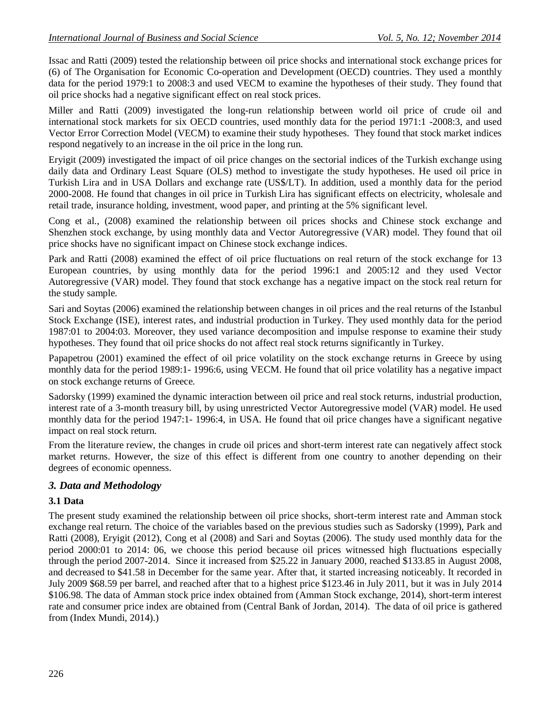Issac and Ratti (2009) tested the relationship between oil price shocks and international stock exchange prices for (6) of The Organisation for Economic Co-operation and Development (OECD) countries. They used a monthly data for the period 1979:1 to 2008:3 and used VECM to examine the hypotheses of their study. They found that oil price shocks had a negative significant effect on real stock prices.

Miller and Ratti (2009) investigated the long-run relationship between world oil price of crude oil and international stock markets for six OECD countries, used monthly data for the period 1971:1 -2008:3, and used Vector Error Correction Model (VECM) to examine their study hypotheses. They found that stock market indices respond negatively to an increase in the oil price in the long run.

Eryigit (2009) investigated the impact of oil price changes on the sectorial indices of the Turkish exchange using daily data and Ordinary Least Square (OLS) method to investigate the study hypotheses. He used oil price in Turkish Lira and in USA Dollars and exchange rate (US\$/LT). In addition, used a monthly data for the period 2000-2008. He found that changes in oil price in Turkish Lira has significant effects on electricity, wholesale and retail trade, insurance holding, investment, wood paper, and printing at the 5% significant level.

Cong et al., (2008) examined the relationship between oil prices shocks and Chinese stock exchange and Shenzhen stock exchange, by using monthly data and Vector Autoregressive (VAR) model. They found that oil price shocks have no significant impact on Chinese stock exchange indices.

Park and Ratti (2008) examined the effect of oil price fluctuations on real return of the stock exchange for 13 European countries, by using monthly data for the period 1996:1 and 2005:12 and they used Vector Autoregressive (VAR) model. They found that stock exchange has a negative impact on the stock real return for the study sample.

Sari and Soytas (2006) examined the relationship between changes in oil prices and the real returns of the Istanbul Stock Exchange (ISE), interest rates, and industrial production in Turkey. They used monthly data for the period 1987:01 to 2004:03. Moreover, they used variance decomposition and impulse response to examine their study hypotheses. They found that oil price shocks do not affect real stock returns significantly in Turkey.

Papapetrou (2001) examined the effect of oil price volatility on the stock exchange returns in Greece by using monthly data for the period 1989:1- 1996:6, using VECM. He found that oil price volatility has a negative impact on stock exchange returns of Greece.

Sadorsky (1999) examined the dynamic interaction between oil price and real stock returns, industrial production, interest rate of a 3-month treasury bill, by using unrestricted Vector Autoregressive model (VAR) model. He used monthly data for the period 1947:1- 1996:4, in USA. He found that oil price changes have a significant negative impact on real stock return.

From the literature review, the changes in crude oil prices and short-term interest rate can negatively affect stock market returns. However, the size of this effect is different from one country to another depending on their degrees of economic openness.

## *3. Data and Methodology*

### **3.1 Data**

The present study examined the relationship between oil price shocks, short-term interest rate and Amman stock exchange real return. The choice of the variables based on the previous studies such as Sadorsky (1999), Park and Ratti (2008), Eryigit (2012), Cong et al (2008) and Sari and Soytas (2006). The study used monthly data for the period 2000:01 to 2014: 06, we choose this period because oil prices witnessed high fluctuations especially through the period 2007-2014. Since it increased from \$25.22 in January 2000, reached \$133.85 in August 2008, and decreased to \$41.58 in December for the same year. After that, it started increasing noticeably. It recorded in July 2009 \$68.59 per barrel, and reached after that to a highest price \$123.46 in July 2011, but it was in July 2014 \$106.98. The data of Amman stock price index obtained from (Amman Stock exchange, 2014), short-term interest rate and consumer price index are obtained from (Central Bank of Jordan, 2014). The data of oil price is gathered from (Index Mundi, 2014).)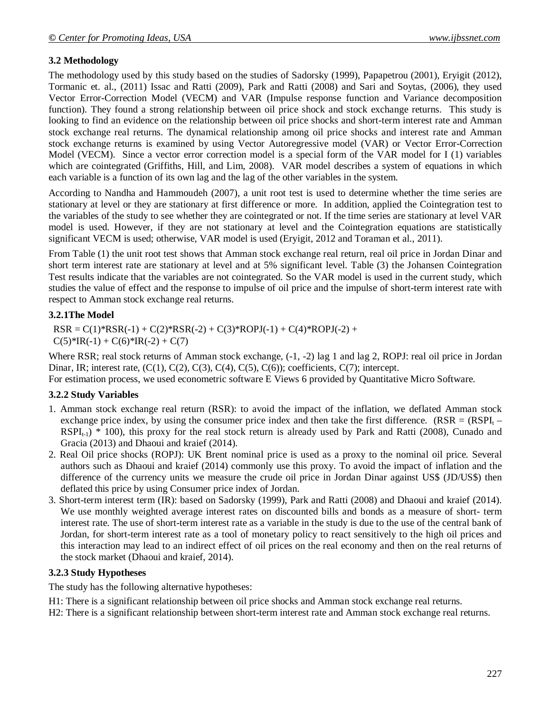### **3.2 Methodology**

The methodology used by this study based on the studies of Sadorsky (1999), Papapetrou (2001), Eryigit (2012), Tormanic et. al., (2011) Issac and Ratti (2009), Park and Ratti (2008) and Sari and Soytas, (2006), they used Vector Error-Correction Model (VECM) and VAR (Impulse response function and Variance decomposition function). They found a strong relationship between oil price shock and stock exchange returns. This study is looking to find an evidence on the relationship between oil price shocks and short-term interest rate and Amman stock exchange real returns. The dynamical relationship among oil price shocks and interest rate and Amman stock exchange returns is examined by using Vector Autoregressive model (VAR) or Vector Error-Correction Model (VECM). Since a vector error correction model is a special form of the VAR model for I (1) variables which are cointegrated (Griffiths, Hill, and Lim, 2008). VAR model describes a system of equations in which each variable is a function of its own lag and the lag of the other variables in the system.

According to Nandha and Hammoudeh (2007), a unit root test is used to determine whether the time series are stationary at level or they are stationary at first difference or more. In addition, applied the Cointegration test to the variables of the study to see whether they are cointegrated or not. If the time series are stationary at level VAR model is used. However, if they are not stationary at level and the Cointegration equations are statistically significant VECM is used; otherwise, VAR model is used (Eryigit, 2012 and Toraman et al., 2011).

From Table (1) the unit root test shows that Amman stock exchange real return, real oil price in Jordan Dinar and short term interest rate are stationary at level and at 5% significant level. Table (3) the Johansen Cointegration Test results indicate that the variables are not cointegrated. So the VAR model is used in the current study, which studies the value of effect and the response to impulse of oil price and the impulse of short-term interest rate with respect to Amman stock exchange real returns.

#### **3.2.1The Model**

 $RSR = C(1)$ <sup>\*</sup> $RSR(-1) + C(2)$ <sup>\*</sup> $RSR(-2) + C(3)$ <sup>\*</sup> $ROPI(-1) + C(4)$ <sup>\*</sup> $ROPI(-2) +$  $C(5)*IR(-1) + C(6)*IR(-2) + C(7)$ 

Where RSR; real stock returns of Amman stock exchange,  $(-1, -2)$  lag 1 and lag 2, ROPJ: real oil price in Jordan Dinar, IR; interest rate,  $(C(1), C(2), C(3), C(4), C(5), C(6))$ ; coefficients,  $C(7)$ ; intercept.

For estimation process, we used econometric software E Views 6 provided by Quantitative Micro Software.

#### **3.2.2 Study Variables**

- 1. Amman stock exchange real return (RSR): to avoid the impact of the inflation, we deflated Amman stock exchange price index, by using the consumer price index and then take the first difference. (RSR =  $(RSPI<sub>t</sub> \text{RSPI}_{t-1}$  \* 100), this proxy for the real stock return is already used by Park and Ratti (2008), Cunado and Gracia (2013) and Dhaoui and kraief (2014).
- 2. Real Oil price shocks (ROPJ): UK Brent nominal price is used as a proxy to the nominal oil price. Several authors such as Dhaoui and kraief (2014) commonly use this proxy. To avoid the impact of inflation and the difference of the currency units we measure the crude oil price in Jordan Dinar against US\$ (JD/US\$) then deflated this price by using Consumer price index of Jordan.
- 3. Short-term interest term (IR): based on Sadorsky (1999), Park and Ratti (2008) and Dhaoui and kraief (2014). We use monthly weighted average interest rates on discounted bills and bonds as a measure of short- term interest rate. The use of short-term interest rate as a variable in the study is due to the use of the central bank of Jordan, for short-term interest rate as a tool of monetary policy to react sensitively to the high oil prices and this interaction may lead to an indirect effect of oil prices on the real economy and then on the real returns of the stock market (Dhaoui and kraief, 2014).

#### **3.2.3 Study Hypotheses**

The study has the following alternative hypotheses:

H1: There is a significant relationship between oil price shocks and Amman stock exchange real returns.

H2: There is a significant relationship between short-term interest rate and Amman stock exchange real returns.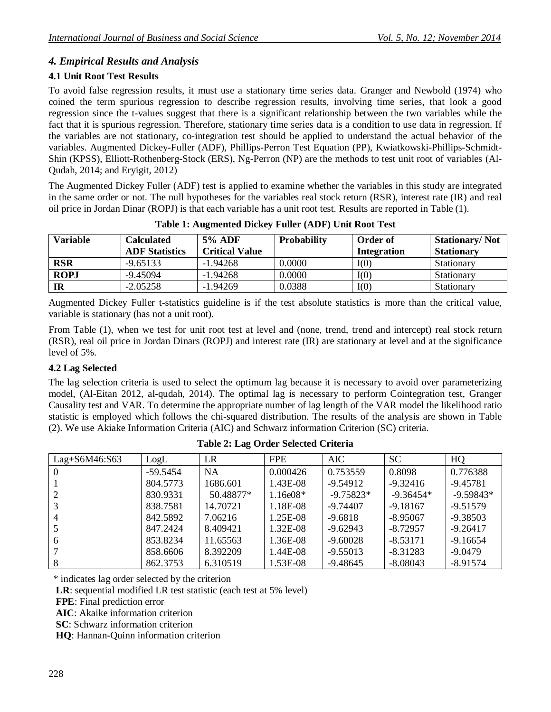## *4. Empirical Results and Analysis*

## **4.1 Unit Root Test Results**

To avoid false regression results, it must use a stationary time series data. Granger and Newbold (1974) who coined the term spurious regression to describe regression results, involving time series, that look a good regression since the t-values suggest that there is a significant relationship between the two variables while the fact that it is spurious regression. Therefore, stationary time series data is a condition to use data in regression. If the variables are not stationary, co-integration test should be applied to understand the actual behavior of the variables. Augmented Dickey-Fuller (ADF), Phillips-Perron Test Equation (PP), Kwiatkowski-Phillips-Schmidt-Shin (KPSS), Elliott-Rothenberg-Stock (ERS), Ng-Perron (NP) are the methods to test unit root of variables (Al-Qudah, 2014; and Eryigit, 2012)

The Augmented Dickey Fuller (ADF) test is applied to examine whether the variables in this study are integrated in the same order or not. The null hypotheses for the variables real stock return (RSR), interest rate (IR) and real oil price in Jordan Dinar (ROPJ) is that each variable has a unit root test. Results are reported in Table (1).

| <b>Variable</b> | Calculated<br><b>ADF</b> Statistics | <b>5% ADF</b><br><b>Critical Value</b> | <b>Probability</b> | <b>Order of</b><br>Integration | <b>Stationary/Not</b><br><b>Stationary</b> |
|-----------------|-------------------------------------|----------------------------------------|--------------------|--------------------------------|--------------------------------------------|
| <b>RSR</b>      | $-9.65133$                          | $-1.94268$                             | 0.0000             | I(0)                           | Stationary                                 |
| <b>ROPJ</b>     | $-9.45094$                          | $-1.94268$                             | 0.0000             | I(0)                           | Stationary                                 |
| IR              | $-2.05258$                          | $-1.94269$                             | 0.0388             | I(0)                           | Stationary                                 |

**Table 1: Augmented Dickey Fuller (ADF) Unit Root Test**

Augmented Dickey Fuller t-statistics guideline is if the test absolute statistics is more than the critical value, variable is stationary (has not a unit root).

From Table (1), when we test for unit root test at level and (none, trend, trend and intercept) real stock return (RSR), real oil price in Jordan Dinars (ROPJ) and interest rate (IR) are stationary at level and at the significance level of 5%.

### **4.2 Lag Selected**

The lag selection criteria is used to select the optimum lag because it is necessary to avoid over parameterizing model, (Al-Eitan 2012, al-qudah, 2014). The optimal lag is necessary to perform Cointegration test, Granger Causality test and VAR. To determine the appropriate number of lag length of the VAR model the likelihood ratio statistic is employed which follows the chi-squared distribution. The results of the analysis are shown in Table (2). We use Akiake Information Criteria (AIC) and Schwarz information Criterion (SC) criteria.

| Lag+S6M46:S63  | LogL       | LR        | <b>FPE</b>        | <b>AIC</b>  | <b>SC</b>   | HQ          |
|----------------|------------|-----------|-------------------|-------------|-------------|-------------|
| -0             | $-59.5454$ | <b>NA</b> | 0.000426          | 0.753559    | 0.8098      | 0.776388    |
|                | 804.5773   | 1686.601  | 1.43E-08          | $-9.54912$  | $-9.32416$  | $-9.45781$  |
| 2              | 830.9331   | 50.48877* | $1.16 \times 08*$ | $-9.75823*$ | $-9.36454*$ | $-9.59843*$ |
|                | 838.7581   | 14.70721  | 1.18E-08          | $-9.74407$  | $-9.18167$  | $-9.51579$  |
| $\overline{4}$ | 842.5892   | 7.06216   | 1.25E-08          | $-9.6818$   | $-8.95067$  | $-9.38503$  |
|                | 847.2424   | 8.409421  | $1.32E-08$        | $-9.62943$  | $-8.72957$  | $-9.26417$  |
| 6              | 853.8234   | 11.65563  | 1.36E-08          | $-9.60028$  | $-8.53171$  | $-9.16654$  |
|                | 858.6606   | 8.392209  | 1.44E-08          | $-9.55013$  | $-8.31283$  | $-9.0479$   |
|                | 862.3753   | 6.310519  | 1.53E-08          | $-9.48645$  | $-8.08043$  | $-8.91574$  |

**Table 2: Lag Order Selected Criteria**

\* indicates lag order selected by the criterion

**LR**: sequential modified LR test statistic (each test at 5% level)

**FPE**: Final prediction error

**AIC**: Akaike information criterion

**SC**: Schwarz information criterion

**HQ**: Hannan-Quinn information criterion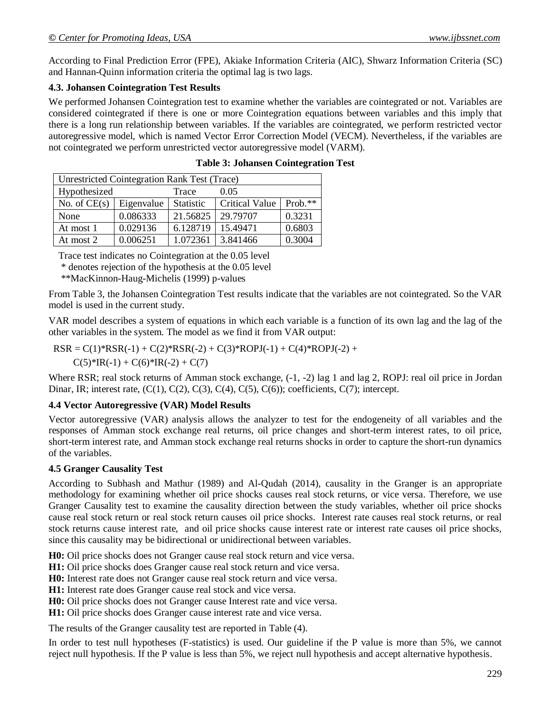According to Final Prediction Error (FPE), Akiake Information Criteria (AIC), Shwarz Information Criteria (SC) and Hannan-Quinn information criteria the optimal lag is two lags.

#### **4.3. Johansen Cointegration Test Results**

We performed Johansen Cointegration test to examine whether the variables are cointegrated or not. Variables are considered cointegrated if there is one or more Cointegration equations between variables and this imply that there is a long run relationship between variables. If the variables are cointegrated, we perform restricted vector autoregressive model, which is named Vector Error Correction Model (VECM). Nevertheless, if the variables are not cointegrated we perform unrestricted vector autoregressive model (VARM).

| Unrestricted Cointegration Rank Test (Trace) |            |           |                       |         |  |  |
|----------------------------------------------|------------|-----------|-----------------------|---------|--|--|
| Hypothesized<br>0.05<br>Trace                |            |           |                       |         |  |  |
| No. of $CE(s)$                               | Eigenvalue | Statistic | <b>Critical Value</b> | Prob.** |  |  |
| None                                         | 0.086333   | 21.56825  | 29.79707              | 0.3231  |  |  |
| At most 1                                    | 0.029136   | 6.128719  | 15.49471              | 0.6803  |  |  |
| At most 2                                    | 0.006251   | 1.072361  | 3.841466              | 0.3004  |  |  |

Trace test indicates no Cointegration at the 0.05 level

\* denotes rejection of the hypothesis at the 0.05 level

\*\*MacKinnon-Haug-Michelis (1999) p-values

From Table 3, the Johansen Cointegration Test results indicate that the variables are not cointegrated. So the VAR model is used in the current study.

VAR model describes a system of equations in which each variable is a function of its own lag and the lag of the other variables in the system. The model as we find it from VAR output:

 $RSR = C(1)*RSR(-1) + C(2)*RSR(-2) + C(3)*ROPI(-1) + C(4)*ROPI(-2) +$  $C(5)*IR(-1) + C(6)*IR(-2) + C(7)$ 

Where RSR; real stock returns of Amman stock exchange,  $(-1, -2)$  lag 1 and lag 2, ROPJ: real oil price in Jordan Dinar, IR; interest rate,  $(C(1), C(2), C(3), C(4), C(5), C(6)$ ; coefficients,  $C(7)$ ; intercept.

### **4.4 Vector Autoregressive (VAR) Model Results**

Vector autoregressive (VAR) analysis allows the analyzer to test for the endogeneity of all variables and the responses of Amman stock exchange real returns, oil price changes and short-term interest rates, to oil price, short-term interest rate, and Amman stock exchange real returns shocks in order to capture the short-run dynamics of the variables.

#### **4.5 Granger Causality Test**

According to Subhash and Mathur (1989) and Al-Qudah (2014), causality in the Granger is an appropriate methodology for examining whether oil price shocks causes real stock returns, or vice versa. Therefore, we use Granger Causality test to examine the causality direction between the study variables, whether oil price shocks cause real stock return or real stock return causes oil price shocks. Interest rate causes real stock returns, or real stock returns cause interest rate, and oil price shocks cause interest rate or interest rate causes oil price shocks, since this causality may be bidirectional or unidirectional between variables.

**H0:** Oil price shocks does not Granger cause real stock return and vice versa.

**H1:** Oil price shocks does Granger cause real stock return and vice versa.

**H0:** Interest rate does not Granger cause real stock return and vice versa.

**H1:** Interest rate does Granger cause real stock and vice versa.

**H0:** Oil price shocks does not Granger cause Interest rate and vice versa.

**H1:** Oil price shocks does Granger cause interest rate and vice versa.

The results of the Granger causality test are reported in Table (4).

In order to test null hypotheses (F-statistics) is used. Our guideline if the P value is more than 5%, we cannot reject null hypothesis. If the P value is less than 5%, we reject null hypothesis and accept alternative hypothesis.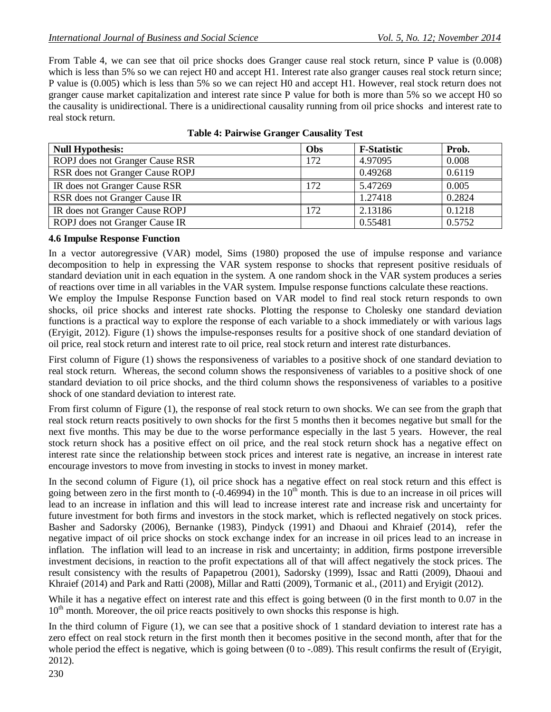From Table 4, we can see that oil price shocks does Granger cause real stock return, since P value is (0.008) which is less than 5% so we can reject H0 and accept H1. Interest rate also granger causes real stock return since; P value is (0.005) which is less than 5% so we can reject H0 and accept H1. However, real stock return does not granger cause market capitalization and interest rate since P value for both is more than 5% so we accept H0 so the causality is unidirectional. There is a unidirectional causality running from oil price shocks and interest rate to real stock return.

| <b>Null Hypothesis:</b>         | Obs | <b>F-Statistic</b> | Prob.  |
|---------------------------------|-----|--------------------|--------|
| ROPJ does not Granger Cause RSR | 172 | 4.97095            | 0.008  |
| RSR does not Granger Cause ROPJ |     | 0.49268            | 0.6119 |
| IR does not Granger Cause RSR   | 172 | 5.47269            | 0.005  |
| RSR does not Granger Cause IR   |     | 1.27418            | 0.2824 |
| IR does not Granger Cause ROPJ  | 172 | 2.13186            | 0.1218 |
| ROPJ does not Granger Cause IR  |     | 0.55481            | 0.5752 |

| <b>Table 4: Pairwise Granger Causality Test</b> |  |  |  |  |  |
|-------------------------------------------------|--|--|--|--|--|
|-------------------------------------------------|--|--|--|--|--|

#### **4.6 Impulse Response Function**

In a vector autoregressive (VAR) model, Sims (1980) proposed the use of impulse response and variance decomposition to help in expressing the VAR system response to shocks that represent positive residuals of standard deviation unit in each equation in the system. A one random shock in the VAR system produces a series of reactions over time in all variables in the VAR system. Impulse response functions calculate these reactions.

We employ the Impulse Response Function based on VAR model to find real stock return responds to own shocks, oil price shocks and interest rate shocks. Plotting the response to Cholesky one standard deviation functions is a practical way to explore the response of each variable to a shock immediately or with various lags (Eryigit, 2012). Figure (1) shows the impulse-responses results for a positive shock of one standard deviation of oil price, real stock return and interest rate to oil price, real stock return and interest rate disturbances.

First column of Figure (1) shows the responsiveness of variables to a positive shock of one standard deviation to real stock return. Whereas, the second column shows the responsiveness of variables to a positive shock of one standard deviation to oil price shocks, and the third column shows the responsiveness of variables to a positive shock of one standard deviation to interest rate.

From first column of Figure (1), the response of real stock return to own shocks. We can see from the graph that real stock return reacts positively to own shocks for the first 5 months then it becomes negative but small for the next five months. This may be due to the worse performance especially in the last 5 years. However, the real stock return shock has a positive effect on oil price, and the real stock return shock has a negative effect on interest rate since the relationship between stock prices and interest rate is negative, an increase in interest rate encourage investors to move from investing in stocks to invest in money market.

In the second column of Figure (1), oil price shock has a negative effect on real stock return and this effect is going between zero in the first month to  $(-0.46994)$  in the  $10<sup>th</sup>$  month. This is due to an increase in oil prices will lead to an increase in inflation and this will lead to increase interest rate and increase risk and uncertainty for future investment for both firms and investors in the stock market, which is reflected negatively on stock prices. Basher and Sadorsky (2006), Bernanke (1983), Pindyck (1991) and Dhaoui and Khraief (2014), refer the negative impact of oil price shocks on stock exchange index for an increase in oil prices lead to an increase in inflation. The inflation will lead to an increase in risk and uncertainty; in addition, firms postpone irreversible investment decisions, in reaction to the profit expectations all of that will affect negatively the stock prices. The result consistency with the results of Papapetrou (2001), Sadorsky (1999), Issac and Ratti (2009), Dhaoui and Khraief (2014) and Park and Ratti (2008), Millar and Ratti (2009), Tormanic et al., (2011) and Eryigit (2012).

While it has a negative effect on interest rate and this effect is going between (0 in the first month to 0.07 in the  $10<sup>th</sup>$  month. Moreover, the oil price reacts positively to own shocks this response is high.

In the third column of Figure (1), we can see that a positive shock of 1 standard deviation to interest rate has a zero effect on real stock return in the first month then it becomes positive in the second month, after that for the whole period the effect is negative, which is going between  $(0 \text{ to } -089)$ . This result confirms the result of (Eryigit, 2012).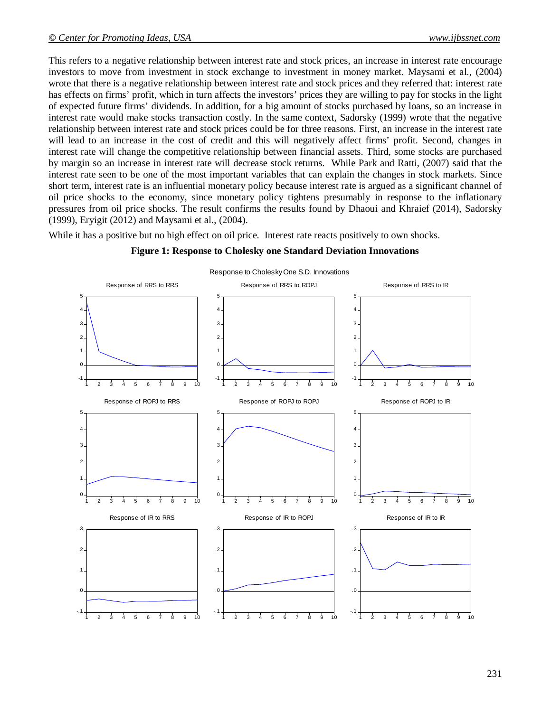This refers to a negative relationship between interest rate and stock prices, an increase in interest rate encourage investors to move from investment in stock exchange to investment in money market. Maysami et al., (2004) wrote that there is a negative relationship between interest rate and stock prices and they referred that: interest rate has effects on firms' profit, which in turn affects the investors' prices they are willing to pay for stocks in the light of expected future firms' dividends. In addition, for a big amount of stocks purchased by loans, so an increase in interest rate would make stocks transaction costly. In the same context, Sadorsky (1999) wrote that the negative relationship between interest rate and stock prices could be for three reasons. First, an increase in the interest rate will lead to an increase in the cost of credit and this will negatively affect firms' profit. Second, changes in interest rate will change the competitive relationship between financial assets. Third, some stocks are purchased by margin so an increase in interest rate will decrease stock returns. While Park and Ratti, (2007) said that the interest rate seen to be one of the most important variables that can explain the changes in stock markets. Since short term, interest rate is an influential monetary policy because interest rate is argued as a significant channel of oil price shocks to the economy, since monetary policy tightens presumably in response to the inflationary pressures from oil price shocks. The result confirms the results found by Dhaoui and Khraief (2014), Sadorsky (1999), Eryigit (2012) and Maysami et al., (2004).

While it has a positive but no high effect on oil price. Interest rate reacts positively to own shocks.



#### **Figure 1: Response to Cholesky one Standard Deviation Innovations**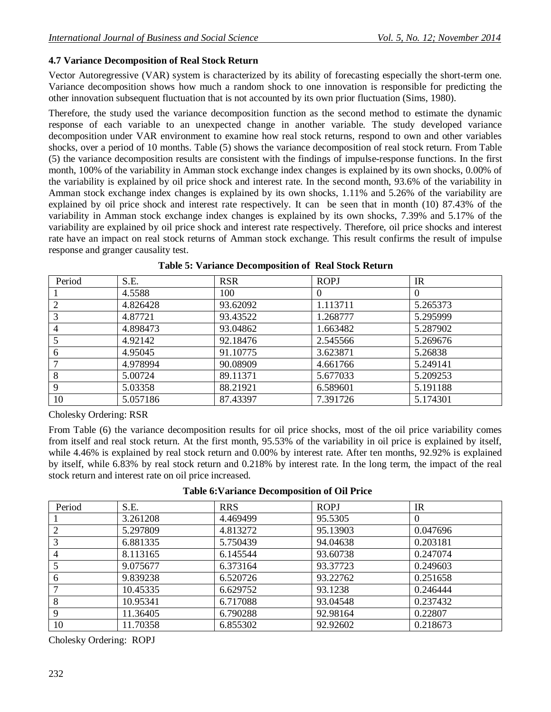### **4.7 Variance Decomposition of Real Stock Return**

Vector Autoregressive (VAR) system is characterized by its ability of forecasting especially the short-term one. Variance decomposition shows how much a random shock to one innovation is responsible for predicting the other innovation subsequent fluctuation that is not accounted by its own prior fluctuation (Sims, 1980).

Therefore, the study used the variance decomposition function as the second method to estimate the dynamic response of each variable to an unexpected change in another variable. The study developed variance decomposition under VAR environment to examine how real stock returns, respond to own and other variables shocks, over a period of 10 months. Table (5) shows the variance decomposition of real stock return. From Table (5) the variance decomposition results are consistent with the findings of impulse-response functions. In the first month, 100% of the variability in Amman stock exchange index changes is explained by its own shocks, 0.00% of the variability is explained by oil price shock and interest rate. In the second month, 93.6% of the variability in Amman stock exchange index changes is explained by its own shocks, 1.11% and 5.26% of the variability are explained by oil price shock and interest rate respectively. It can be seen that in month (10) 87.43% of the variability in Amman stock exchange index changes is explained by its own shocks, 7.39% and 5.17% of the variability are explained by oil price shock and interest rate respectively. Therefore, oil price shocks and interest rate have an impact on real stock returns of Amman stock exchange. This result confirms the result of impulse response and granger causality test.

| Period         | S.E.     | <b>RSR</b> | <b>ROPJ</b> | <b>IR</b> |
|----------------|----------|------------|-------------|-----------|
|                | 4.5588   | 100        | $\theta$    | $\theta$  |
|                | 4.826428 | 93.62092   | 1.113711    | 5.265373  |
|                | 4.87721  | 93.43522   | 1.268777    | 5.295999  |
| $\overline{4}$ | 4.898473 | 93.04862   | 1.663482    | 5.287902  |
|                | 4.92142  | 92.18476   | 2.545566    | 5.269676  |
| 6              | 4.95045  | 91.10775   | 3.623871    | 5.26838   |
|                | 4.978994 | 90.08909   | 4.661766    | 5.249141  |
| 8              | 5.00724  | 89.11371   | 5.677033    | 5.209253  |
| 9              | 5.03358  | 88.21921   | 6.589601    | 5.191188  |
| 10             | 5.057186 | 87.43397   | 7.391726    | 5.174301  |

**Table 5: Variance Decomposition of Real Stock Return**

Cholesky Ordering: RSR

From Table (6) the variance decomposition results for oil price shocks, most of the oil price variability comes from itself and real stock return. At the first month, 95.53% of the variability in oil price is explained by itself, while 4.46% is explained by real stock return and 0.00% by interest rate. After ten months, 92.92% is explained by itself, while 6.83% by real stock return and 0.218% by interest rate. In the long term, the impact of the real stock return and interest rate on oil price increased.

| Period         | S.E.     | <b>RRS</b> | <b>ROPJ</b> | <b>IR</b> |
|----------------|----------|------------|-------------|-----------|
|                | 3.261208 | 4.469499   | 95.5305     | $\theta$  |
| 2              | 5.297809 | 4.813272   | 95.13903    | 0.047696  |
| 3              | 6.881335 | 5.750439   | 94.04638    | 0.203181  |
| $\overline{4}$ | 8.113165 | 6.145544   | 93.60738    | 0.247074  |
|                | 9.075677 | 6.373164   | 93.37723    | 0.249603  |
| 6              | 9.839238 | 6.520726   | 93.22762    | 0.251658  |
| ℸ              | 10.45335 | 6.629752   | 93.1238     | 0.246444  |
| 8              | 10.95341 | 6.717088   | 93.04548    | 0.237432  |
| $\mathbf{Q}$   | 11.36405 | 6.790288   | 92.98164    | 0.22807   |
| 10             | 11.70358 | 6.855302   | 92.92602    | 0.218673  |

Cholesky Ordering: ROPJ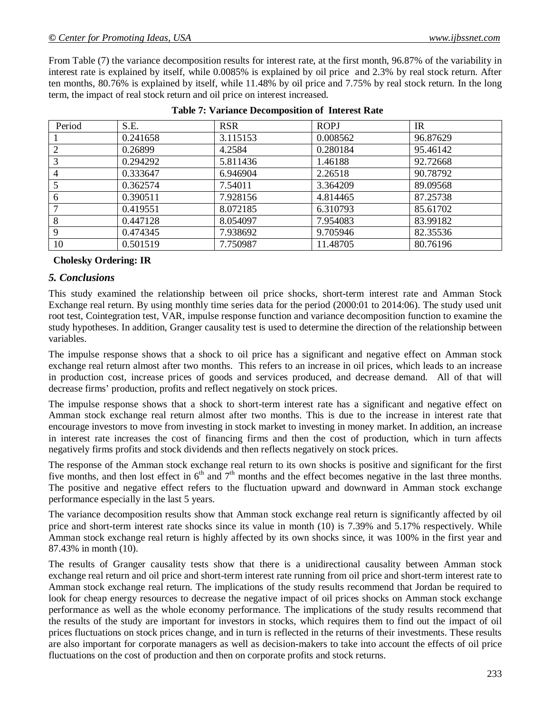From Table (7) the variance decomposition results for interest rate, at the first month, 96.87% of the variability in interest rate is explained by itself, while 0.0085% is explained by oil price and 2.3% by real stock return. After ten months, 80.76% is explained by itself, while 11.48% by oil price and 7.75% by real stock return. In the long term, the impact of real stock return and oil price on interest increased.

| Period         | S.E.     | <b>RSR</b> | <b>ROPJ</b> | <b>IR</b> |
|----------------|----------|------------|-------------|-----------|
|                | 0.241658 | 3.115153   | 0.008562    | 96.87629  |
|                | 0.26899  | 4.2584     | 0.280184    | 95.46142  |
| 3              | 0.294292 | 5.811436   | 1.46188     | 92.72668  |
| $\overline{4}$ | 0.333647 | 6.946904   | 2.26518     | 90.78792  |
|                | 0.362574 | 7.54011    | 3.364209    | 89.09568  |
| 6              | 0.390511 | 7.928156   | 4.814465    | 87.25738  |
|                | 0.419551 | 8.072185   | 6.310793    | 85.61702  |
| 8              | 0.447128 | 8.054097   | 7.954083    | 83.99182  |
| 9              | 0.474345 | 7.938692   | 9.705946    | 82.35536  |
| 10             | 0.501519 | 7.750987   | 11.48705    | 80.76196  |

#### **Cholesky Ordering: IR**

#### *5. Conclusions*

This study examined the relationship between oil price shocks, short-term interest rate and Amman Stock Exchange real return. By using monthly time series data for the period (2000:01 to 2014:06). The study used unit root test, Cointegration test, VAR, impulse response function and variance decomposition function to examine the study hypotheses. In addition, Granger causality test is used to determine the direction of the relationship between variables.

The impulse response shows that a shock to oil price has a significant and negative effect on Amman stock exchange real return almost after two months. This refers to an increase in oil prices, which leads to an increase in production cost, increase prices of goods and services produced, and decrease demand. All of that will decrease firms' production, profits and reflect negatively on stock prices.

The impulse response shows that a shock to short-term interest rate has a significant and negative effect on Amman stock exchange real return almost after two months. This is due to the increase in interest rate that encourage investors to move from investing in stock market to investing in money market. In addition, an increase in interest rate increases the cost of financing firms and then the cost of production, which in turn affects negatively firms profits and stock dividends and then reflects negatively on stock prices.

The response of the Amman stock exchange real return to its own shocks is positive and significant for the first five months, and then lost effect in  $6<sup>th</sup>$  and  $7<sup>th</sup>$  months and the effect becomes negative in the last three months. The positive and negative effect refers to the fluctuation upward and downward in Amman stock exchange performance especially in the last 5 years.

The variance decomposition results show that Amman stock exchange real return is significantly affected by oil price and short-term interest rate shocks since its value in month (10) is 7.39% and 5.17% respectively. While Amman stock exchange real return is highly affected by its own shocks since, it was 100% in the first year and 87.43% in month (10).

The results of Granger causality tests show that there is a unidirectional causality between Amman stock exchange real return and oil price and short-term interest rate running from oil price and short-term interest rate to Amman stock exchange real return. The implications of the study results recommend that Jordan be required to look for cheap energy resources to decrease the negative impact of oil prices shocks on Amman stock exchange performance as well as the whole economy performance. The implications of the study results recommend that the results of the study are important for investors in stocks, which requires them to find out the impact of oil prices fluctuations on stock prices change, and in turn is reflected in the returns of their investments. These results are also important for corporate managers as well as decision-makers to take into account the effects of oil price fluctuations on the cost of production and then on corporate profits and stock returns.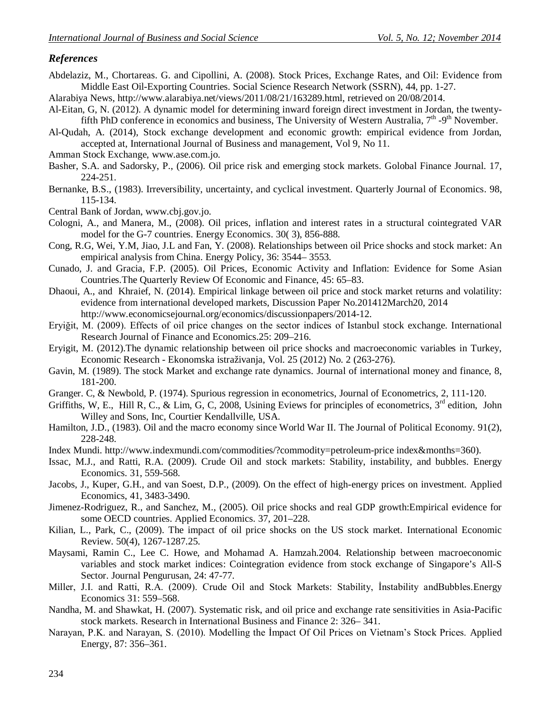#### *References*

Abdelaziz, M., Chortareas. G. and Cipollini, A. (2008). Stock Prices, Exchange Rates, and Oil: Evidence from Middle East Oil-Exporting Countries. Social Science Research Network (SSRN), 44, pp. 1-27.

Alarabiya News, http://www.alarabiya.net/views/2011/08/21/163289.html, retrieved on 20/08/2014.

- Al-Eitan, G, N. (2012). A dynamic model for determining inward foreign direct investment in Jordan, the twentyfifth PhD conference in economics and business, The University of Western Australia,  $7<sup>th</sup>$  -9<sup>th</sup> November.
- Al-Qudah, A. (2014), Stock exchange development and economic growth: empirical evidence from Jordan, accepted at, International Journal of Business and management, Vol 9, No 11.

Amman Stock Exchange, www.ase.com.jo.

- Basher, S.A. and Sadorsky, P., (2006). Oil price risk and emerging stock markets. Golobal Finance Journal. 17, 224-251.
- Bernanke, B.S., (1983). Irreversibility, uncertainty, and cyclical investment. Quarterly Journal of Economics. 98, 115-134.

Central Bank of Jordan, www.cbj.gov.jo.

- Cologni, A., and Manera, M., (2008). Oil prices, inflation and interest rates in a structural cointegrated VAR model for the G-7 countries. Energy Economics. 30( 3), 856-888.
- Cong, R.G, Wei, Y.M, Jiao, J.L and Fan, Y. (2008). Relationships between oil Price shocks and stock market: An empirical analysis from China. Energy Policy, 36: 3544– 3553.
- Cunado, J. and Gracia, F.P. (2005). Oil Prices, Economic Activity and Inflation: Evidence for Some Asian Countries.The Quarterly Review Of Economic and Finance, 45: 65–83.
- Dhaoui, A., and Khraief, N. (2014). Empirical linkage between oil price and stock market returns and volatility: evidence from international developed markets, Discussion Paper No.201412March20, 2014 http://www.economicsejournal.org/economics/discussionpapers/2014-12.
- Eryiğit, M. (2009). Effects of oil price changes on the sector indices of Istanbul stock exchange. International Research Journal of Finance and Economics.25: 209–216.
- Eryigit, M. (2012).The dynamic relationship between oil price shocks and macroeconomic variables in Turkey, Economic Research - Ekonomska istraživanja, Vol. 25 (2012) No. 2 (263-276).
- Gavin, M. (1989). The stock Market and exchange rate dynamics. Journal of international money and finance, 8, 181-200.
- Granger. C, & Newbold, P. (1974). Spurious regression in econometrics, Journal of Econometrics, 2, 111-120.
- Griffiths, W, E., Hill R, C., & Lim, G, C, 2008, Usining Eviews for principles of econometrics,  $3<sup>rd</sup>$  edition, John Willey and Sons, Inc, Courtier Kendallville, USA.
- Hamilton, J.D., (1983). Oil and the macro economy since World War II. The Journal of Political Economy. 91(2), 228-248.
- Index Mundi. http://www.indexmundi.com/commodities/?commodity=petroleum-price index&months=360).
- Issac, M.J., and Ratti, R.A. (2009). Crude Oil and stock markets: Stability, instability, and bubbles. Energy Economics. 31, 559-568.
- Jacobs, J., Kuper, G.H., and van Soest, D.P., (2009). On the effect of high-energy prices on investment. Applied Economics, 41, 3483-3490.
- Jimenez-Rodriguez, R., and Sanchez, M., (2005). Oil price shocks and real GDP growth:Empirical evidence for some OECD countries. Applied Economics. 37, 201–228.
- Kilian, L., Park, C., (2009). The impact of oil price shocks on the US stock market. International Economic Review. 50(4), 1267-1287.25.
- Maysami, Ramin C., Lee C. Howe, and Mohamad A. Hamzah.2004. Relationship between macroeconomic variables and stock market indices: Cointegration evidence from stock exchange of Singapore's All-S Sector. Journal Pengurusan, 24: 47-77.
- Miller, J.I. and Ratti, R.A. (2009). Crude Oil and Stock Markets: Stability, İnstability andBubbles.Energy Economics 31: 559–568.
- Nandha, M. and Shawkat, H. (2007). Systematic risk, and oil price and exchange rate sensitivities in Asia-Pacific stock markets. Research in International Business and Finance 2: 326– 341.
- Narayan, P.K. and Narayan, S. (2010). Modelling the İmpact Of Oil Prices on Vietnam's Stock Prices. Applied Energy, 87: 356–361.